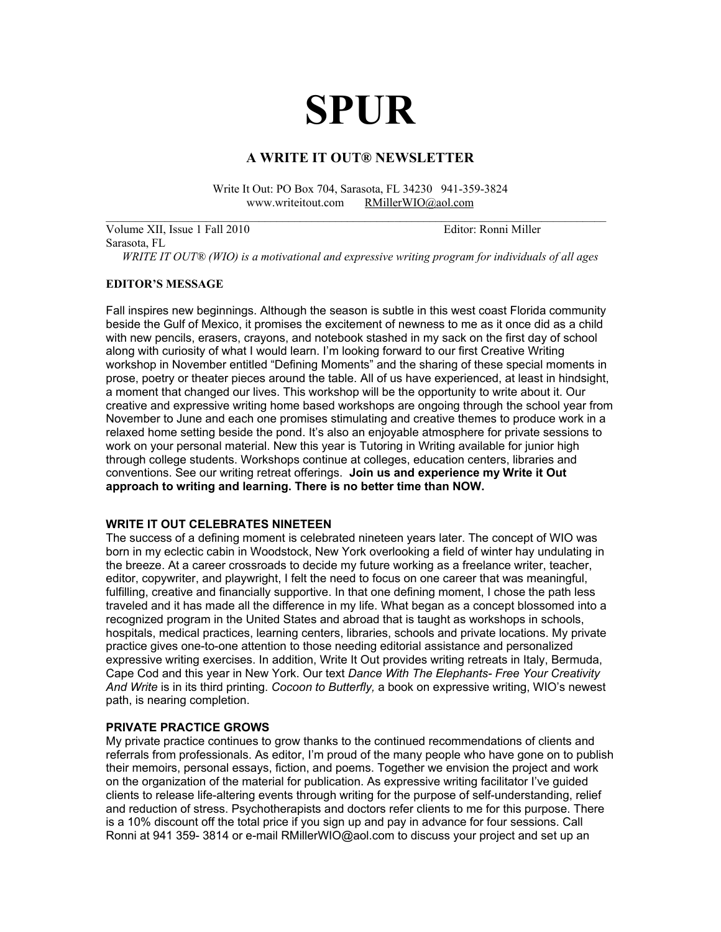# **SPUR**

# **A WRITE IT OUT® NEWSLETTER**

Write It Out: PO Box 704, Sarasota, FL 34230 941-359-3824 www.writeitout.com [RMillerWIO@aol.com](mailto:RMillerWIO@aol.com)  $\mathcal{L}_\text{max}$  , and the contribution of the contribution of the contribution of the contribution of the contribution of the contribution of the contribution of the contribution of the contribution of the contribution of t

Volume XII, Issue 1 Fall 2010 Editor: Ronni Miller Sarasota, FL *WRITE IT OUT® (WIO) is a motivational and expressive writing program for individuals of all ages* 

#### **EDITOR'S MESSAGE**

Fall inspires new beginnings. Although the season is subtle in this west coast Florida community beside the Gulf of Mexico, it promises the excitement of newness to me as it once did as a child with new pencils, erasers, crayons, and notebook stashed in my sack on the first day of school along with curiosity of what I would learn. I'm looking forward to our first Creative Writing workshop in November entitled "Defining Moments" and the sharing of these special moments in prose, poetry or theater pieces around the table. All of us have experienced, at least in hindsight, a moment that changed our lives. This workshop will be the opportunity to write about it. Our creative and expressive writing home based workshops are ongoing through the school year from November to June and each one promises stimulating and creative themes to produce work in a relaxed home setting beside the pond. It's also an enjoyable atmosphere for private sessions to work on your personal material. New this year is Tutoring in Writing available for junior high through college students. Workshops continue at colleges, education centers, libraries and conventions. See our writing retreat offerings. **Join us and experience my Write it Out approach to writing and learning. There is no better time than NOW.**  in 19

## **WRITE IT OUT CELEBRATES NINETEEN**

The success of a defining moment is celebrated nineteen years later. The concept of WIO was born in my eclectic cabin in Woodstock, New York overlooking a field of winter hay undulating in the breeze. At a career crossroads to decide my future working as a freelance writer, teacher, editor, copywriter, and playwright, I felt the need to focus on one career that was meaningful, fulfilling, creative and financially supportive. In that one defining moment, I chose the path less traveled and it has made all the difference in my life. What began as a concept blossomed into a recognized program in the United States and abroad that is taught as workshops in schools, hospitals, medical practices, learning centers, libraries, schools and private locations. My private practice gives one-to-one attention to those needing editorial assistance and personalized expressive writing exercises. In addition, Write It Out provides writing retreats in Italy, Bermuda, Cape Cod and this year in New York. Our text *Dance With The Elephants- Free Your Creativity And Write* is in its third printing. *Cocoon to Butterfly,* a book on expressive writing, WIO's newest path, is nearing completion.

#### **PRIVATE PRACTICE GROWS**

My private practice continues to grow thanks to the continued recommendations of clients and referrals from professionals. As editor, I'm proud of the many people who have gone on to publish their memoirs, personal essays, fiction, and poems. Together we envision the project and work on the organization of the material for publication. As expressive writing facilitator I've guided clients to release life-altering events through writing for the purpose of self-understanding, relief and reduction of stress. Psychotherapists and doctors refer clients to me for this purpose. There is a 10% discount off the total price if you sign up and pay in advance for four sessions. Call Ronni at 941 359- 3814 or e-mail RMillerWIO@aol.com to discuss your project and set up an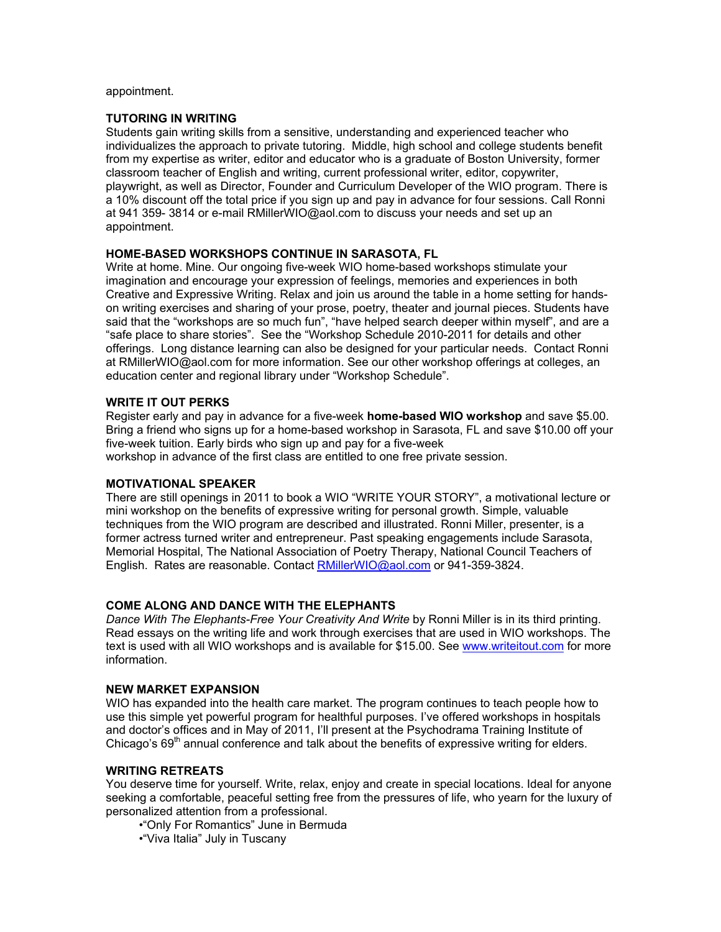appointment.

#### **TUTORING IN WRITING**

Students gain writing skills from a sensitive, understanding and experienced teacher who individualizes the approach to private tutoring. Middle, high school and college students benefit from my expertise as writer, editor and educator who is a graduate of Boston University, former classroom teacher of English and writing, current professional writer, editor, copywriter, playwright, as well as Director, Founder and Curriculum Developer of the WIO program. There is a 10% discount off the total price if you sign up and pay in advance for four sessions. Call Ronni at 941 359- 3814 or e-mail RMillerWIO@aol.com to discuss your needs and set up an appointment.

### **HOME-BASED WORKSHOPS CONTINUE IN SARASOTA, FL**

Write at home. Mine. Our ongoing five-week WIO home-based workshops stimulate your imagination and encourage your expression of feelings, memories and experiences in both Creative and Expressive Writing. Relax and join us around the table in a home setting for handson writing exercises and sharing of your prose, poetry, theater and journal pieces. Students have said that the "workshops are so much fun", "have helped search deeper within myself", and are a "safe place to share stories". See the "Workshop Schedule 2010-2011 for details and other offerings. Long distance learning can also be designed for your particular needs. Contact Ronni at RMillerWIO@aol.com for more information. See our other workshop offerings at colleges, an education center and regional library under "Workshop Schedule".

#### **WRITE IT OUT PERKS**

Register early and pay in advance for a five-week **home-based WIO workshop** and save \$5.00. Bring a friend who signs up for a home-based workshop in Sarasota, FL and save \$10.00 off your five-week tuition. Early birds who sign up and pay for a five-week

workshop in advance of the first class are entitled to one free private session.

#### **MOTIVATIONAL SPEAKER**

There are still openings in 2011 to book a WIO "WRITE YOUR STORY", a motivational lecture or mini workshop on the benefits of expressive writing for personal growth. Simple, valuable techniques from the WIO program are described and illustrated. Ronni Miller, presenter, is a former actress turned writer and entrepreneur. Past speaking engagements include Sarasota, Memorial Hospital, The National Association of Poetry Therapy, National Council Teachers of English. Rates are reasonable. Contact [RMillerWIO@aol.com](mailto:RMillerWIO@aol.com) or 941-359-3824.

#### **COME ALONG AND DANCE WITH THE ELEPHANTS**

*Dance With The Elephants-Free Your Creativity And Write* by Ronni Miller is in its third printing. Read essays on the writing life and work through exercises that are used in WIO workshops. The text is used with all WIO workshops and is available for \$15.00. See [www.writeitout.com](http://www.writeitout.com) for more information.

#### **NEW MARKET EXPANSION**

WIO has expanded into the health care market. The program continues to teach people how to use this simple yet powerful program for healthful purposes. I've offered workshops in hospitals and doctor's offices and in May of 2011, I'll present at the Psychodrama Training Institute of Chicago's  $69<sup>th</sup>$  annual conference and talk about the benefits of expressive writing for elders.

#### **WRITING RETREATS**

You deserve time for yourself. Write, relax, enjoy and create in special locations. Ideal for anyone seeking a comfortable, peaceful setting free from the pressures of life, who yearn for the luxury of personalized attention from a professional.

- •"Only For Romantics" June in Bermuda
- •"Viva Italia" July in Tuscany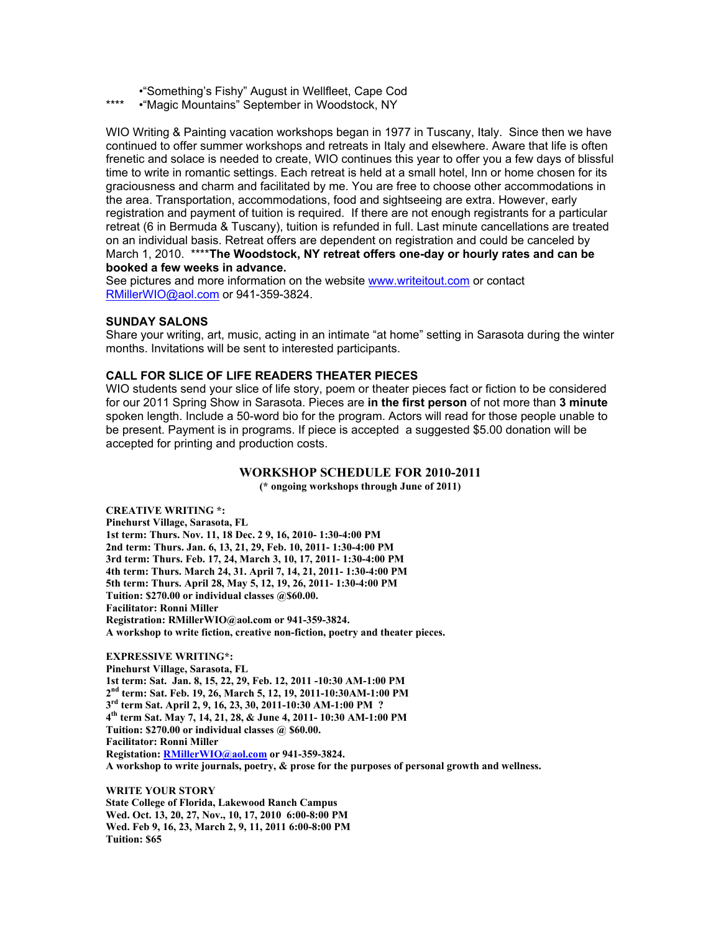- •"Something's Fishy" August in Wellfleet, Cape Cod
- •"Magic Mountains" September in Woodstock, NY

WIO Writing & Painting vacation workshops began in 1977 in Tuscany, Italy. Since then we have continued to offer summer workshops and retreats in Italy and elsewhere. Aware that life is often frenetic and solace is needed to create, WIO continues this year to offer you a few days of blissful time to write in romantic settings. Each retreat is held at a small hotel, Inn or home chosen for its graciousness and charm and facilitated by me. You are free to choose other accommodations in the area. Transportation, accommodations, food and sightseeing are extra. However, early registration and payment of tuition is required. If there are not enough registrants for a particular retreat (6 in Bermuda & Tuscany), tuition is refunded in full. Last minute cancellations are treated on an individual basis. Retreat offers are dependent on registration and could be canceled by March 1, 2010. \*\*\*\***The Woodstock, NY retreat offers one-day or hourly rates and can be booked a few weeks in advance.** 

See pictures and more information on the website [www.writeitout.com](http://www.writeitout.com) or contact [RMillerWIO@aol.com](mailto:RMillerWIO@aol.com) or 941-359-3824.

#### **SUNDAY SALONS**

Share your writing, art, music, acting in an intimate "at home" setting in Sarasota during the winter months. Invitations will be sent to interested participants.

## **CALL FOR SLICE OF LIFE READERS THEATER PIECES**

WIO students send your slice of life story, poem or theater pieces fact or fiction to be considered for our 2011 Spring Show in Sarasota. Pieces are **in the first person** of not more than **3 minute** spoken length. Include a 50-word bio for the program. Actors will read for those people unable to be present. Payment is in programs. If piece is accepted a suggested \$5.00 donation will be accepted for printing and production costs.

#### **WORKSHOP SCHEDULE FOR 2010-2011**

**(\* ongoing workshops through June of 2011)** 

**CREATIVE WRITING \*: Pinehurst Village, Sarasota, FL 1st term: Thurs. Nov. 11, 18 Dec. 2 9, 16, 2010- 1:30-4:00 PM 2nd term: Thurs. Jan. 6, 13, 21, 29, Feb. 10, 2011- 1:30-4:00 PM 3rd term: Thurs. Feb. 17, 24, March 3, 10, 17, 2011- 1:30-4:00 PM 4th term: Thurs. March 24, 31. April 7, 14, 21, 2011- 1:30-4:00 PM 5th term: Thurs. April 28, May 5, 12, 19, 26, 2011- 1:30-4:00 PM Tuition: \$270.00 or individual classes @\$60.00. Facilitator: Ronni Miller Registration: RMillerWIO@aol.com or 941-359-3824. A workshop to write fiction, creative non-fiction, poetry and theater pieces.** 

**EXPRESSIVE WRITING\*: Pinehurst Village, Sarasota, FL 1st term: Sat. Jan. 8, 15, 22, 29, Feb. 12, 2011 -10:30 AM-1:00 PM 2nd term: Sat. Feb. 19, 26, March 5, 12, 19, 2011-10:30AM-1:00 PM 3rd term Sat. April 2, 9, 16, 23, 30, 2011-10:30 AM-1:00 PM ? 4th term Sat. May 7, 14, 21, 28, & June 4, 2011- 10:30 AM-1:00 PM Tuition: \$270.00 or individual classes @ \$60.00. Facilitator: Ronni Miller Registation: [RMillerWIO@aol.com](mailto:RMillerWIO@aol.com) or 941-359-3824. A workshop to write journals, poetry, & prose for the purposes of personal growth and wellness.** 

**WRITE YOUR STORY State College of Florida, Lakewood Ranch Campus Wed. Oct. 13, 20, 27, Nov., 10, 17, 2010 6:00-8:00 PM Wed. Feb 9, 16, 23, March 2, 9, 11, 2011 6:00-8:00 PM Tuition: \$65**